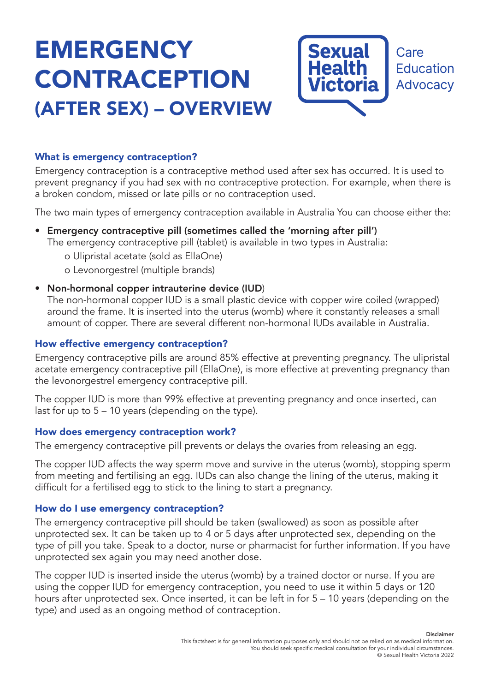# **EMERGENCY** CONTRACEPTION (AFTER SEX) – OVERVIEW



### What is emergency contraception?

Emergency contraception is a contraceptive method used after sex has occurred. It is used to prevent pregnancy if you had sex with no contraceptive protection. For example, when there is a broken condom, missed or late pills or no contraception used.

The two main types of emergency contraception available in Australia You can choose either the:

• Emergency contraceptive pill (sometimes called the 'morning after pill')

The emergency contraceptive pill (tablet) is available in two types in Australia:

o Ulipristal acetate (sold as EllaOne)

- o Levonorgestrel (multiple brands)
- Non-hormonal copper intrauterine device (IUD)

The non-hormonal copper IUD is a small plastic device with copper wire coiled (wrapped) around the frame. It is inserted into the uterus (womb) where it constantly releases a small amount of copper. There are several different non-hormonal IUDs available in Australia.

## How effective emergency contraception?

Emergency contraceptive pills are around 85% effective at preventing pregnancy. The ulipristal acetate emergency contraceptive pill (EllaOne), is more effective at preventing pregnancy than the levonorgestrel emergency contraceptive pill.

The copper IUD is more than 99% effective at preventing pregnancy and once inserted, can last for up to 5 – 10 years (depending on the type).

#### How does emergency contraception work?

The emergency contraceptive pill prevents or delays the ovaries from releasing an egg.

The copper IUD affects the way sperm move and survive in the uterus (womb), stopping sperm from meeting and fertilising an egg. IUDs can also change the lining of the uterus, making it difficult for a fertilised egg to stick to the lining to start a pregnancy.

#### How do I use emergency contraception?

The emergency contraceptive pill should be taken (swallowed) as soon as possible after unprotected sex. It can be taken up to 4 or 5 days after unprotected sex, depending on the type of pill you take. Speak to a doctor, nurse or pharmacist for further information. If you have unprotected sex again you may need another dose.

The copper IUD is inserted inside the uterus (womb) by a trained doctor or nurse. If you are using the copper IUD for emergency contraception, you need to use it within 5 days or 120 hours after unprotected sex. Once inserted, it can be left in for 5 – 10 years (depending on the type) and used as an ongoing method of contraception.